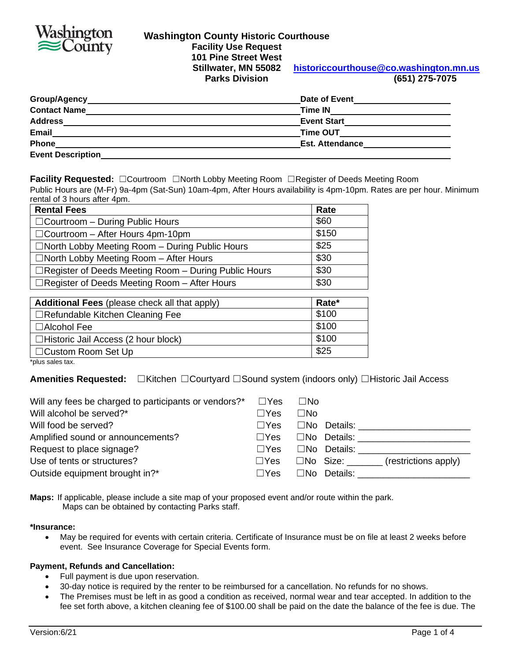

# **Washington County Historic Courthouse Facility Use Request 101 Pine Street West**

**Stillwater, MN 55082 [historiccourthouse@co.washington.mn.us](mailto:historiccourthouse@co.washington.mn.us) Parks Division (651) 275-7075**

| Group/Agency_            | Date of Event          |
|--------------------------|------------------------|
| <b>Contact Name</b>      | <b>Time IN</b>         |
| <b>Address</b>           | <b>Event Start</b>     |
| <b>Email</b>             | <b>Time OUT</b>        |
| Phone                    | <b>Est. Attendance</b> |
| <b>Event Description</b> |                        |

**Facility Requested:** ☐Courtroom ☐North Lobby Meeting Room ☐Register of Deeds Meeting Room

Public Hours are (M-Fr) 9a-4pm (Sat-Sun) 10am-4pm, After Hours availability is 4pm-10pm. Rates are per hour. Minimum rental of 3 hours after 4pm.

| <b>Rental Fees</b>                                      | Rate  |
|---------------------------------------------------------|-------|
| $\Box$ Courtroom - During Public Hours                  | \$60  |
| $\Box$ Courtroom - After Hours 4pm-10pm                 | \$150 |
| $\Box$ North Lobby Meeting Room $-$ During Public Hours | \$25  |
| $\Box$ North Lobby Meeting Room $-$ After Hours         | \$30  |
| □ Register of Deeds Meeting Room - During Public Hours  | \$30  |
| $\Box$ Register of Deeds Meeting Room - After Hours     | \$30  |
|                                                         |       |
| Additional Fees (please check all that apply)           | Rate* |
| $\Box$ Refundable Kitchen Cleaning Fee                  | \$100 |
|                                                         |       |

| $\Box$ Alcohol Fee                         | \$100 |
|--------------------------------------------|-------|
| $\Box$ Historic Jail Access (2 hour block) | \$100 |
| □ Custom Room Set Up                       | \$25  |
| المتمط بمساحي حرزاحة                       |       |

\*plus sales tax.

**Amenities Requested:** ☐Kitchen ☐Courtyard ☐Sound system (indoors only) ☐Historic Jail Access

| Will any fees be charged to participants or vendors?* | $\square$ Yes | $\square$ No                               |
|-------------------------------------------------------|---------------|--------------------------------------------|
| Will alcohol be served?*                              | $\Box$ Yes    | $\square$ No                               |
| Will food be served?                                  | $\Box$ Yes    | $\square$ No Details:                      |
| Amplified sound or announcements?                     | $\Box Y$ es   | $\square$ No Details:                      |
| Request to place signage?                             | $\Box Y$ es   | $\square$ No Details:                      |
| Use of tents or structures?                           | $\square$ Yes | (restrictions apply)<br>$\square$ No Size: |
| Outside equipment brought in?*                        | $\Box$ Yes    | $\square$ No Details:                      |

**Maps:** If applicable, please include a site map of your proposed event and/or route within the park. Maps can be obtained by contacting Parks staff.

**\*Insurance:**

• May be required for events with certain criteria. Certificate of Insurance must be on file at least 2 weeks before event. See Insurance Coverage for Special Events form.

#### **Payment, Refunds and Cancellation:**

- Full payment is due upon reservation.
- 30-day notice is required by the renter to be reimbursed for a cancellation. No refunds for no shows.
- The Premises must be left in as good a condition as received, normal wear and tear accepted. In addition to the fee set forth above, a kitchen cleaning fee of \$100.00 shall be paid on the date the balance of the fee is due. The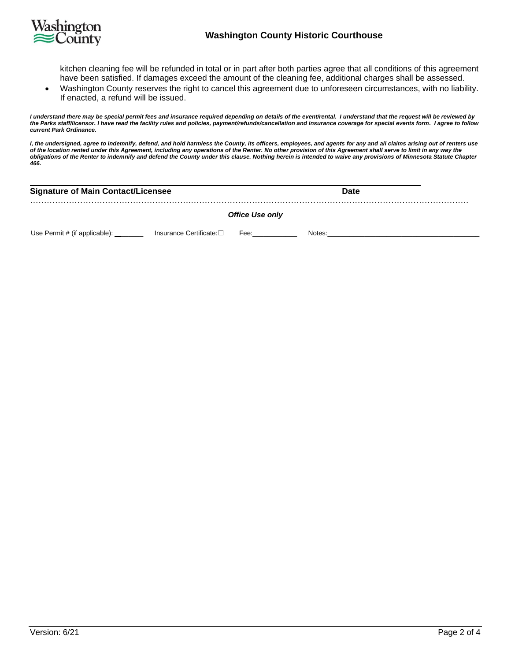

#### **Washington County Historic Courthouse**

kitchen cleaning fee will be refunded in total or in part after both parties agree that all conditions of this agreement have been satisfied. If damages exceed the amount of the cleaning fee, additional charges shall be assessed.

• Washington County reserves the right to cancel this agreement due to unforeseen circumstances, with no liability. If enacted, a refund will be issued.

*I understand there may be special permit fees and insurance required depending on details of the event/rental. I understand that the request will be reviewed by the Parks staff/licensor. I have read the facility rules and policies, payment/refunds/cancellation and insurance coverage for special events form. I agree to follow current Park Ordinance.*

*I, the undersigned, agree to indemnify, defend, and hold harmless the County, its officers, employees, and agents for any and all claims arising out of renters use of the location rented under this Agreement, including any operations of the Renter. No other provision of this Agreement shall serve to limit in any way the obligations of the Renter to indemnify and defend the County under this clause. Nothing herein is intended to waive any provisions of Minnesota Statute Chapter 466.*

| <b>Signature of Main Contact/Licensee</b> | <b>Date</b>            |
|-------------------------------------------|------------------------|
|                                           | <b>Office Use only</b> |

Use Permit # (if applicable): \_\_\_\_\_\_\_\_\_\_\_\_ Insurance Certificate:□ Fee: \_\_\_\_\_\_\_\_\_\_\_\_\_\_\_\_\_\_\_\_\_\_\_\_\_\_\_\_ Notes:\_\_\_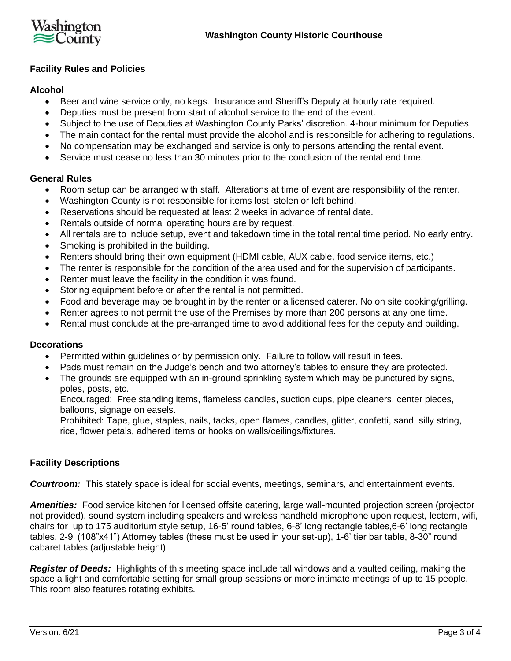

# **Facility Rules and Policies**

# **Alcohol**

- Beer and wine service only, no kegs. Insurance and Sheriff's Deputy at hourly rate required.
- Deputies must be present from start of alcohol service to the end of the event.
- Subject to the use of Deputies at Washington County Parks' discretion. 4-hour minimum for Deputies.
- The main contact for the rental must provide the alcohol and is responsible for adhering to regulations.
- No compensation may be exchanged and service is only to persons attending the rental event.
- Service must cease no less than 30 minutes prior to the conclusion of the rental end time.

#### **General Rules**

- Room setup can be arranged with staff. Alterations at time of event are responsibility of the renter.
- Washington County is not responsible for items lost, stolen or left behind.
- Reservations should be requested at least 2 weeks in advance of rental date.
- Rentals outside of normal operating hours are by request.
- All rentals are to include setup, event and takedown time in the total rental time period. No early entry.
- Smoking is prohibited in the building.
- Renters should bring their own equipment (HDMI cable, AUX cable, food service items, etc.)
- The renter is responsible for the condition of the area used and for the supervision of participants.
- Renter must leave the facility in the condition it was found.
- Storing equipment before or after the rental is not permitted.
- Food and beverage may be brought in by the renter or a licensed caterer. No on site cooking/grilling.
- Renter agrees to not permit the use of the Premises by more than 200 persons at any one time.
- Rental must conclude at the pre-arranged time to avoid additional fees for the deputy and building.

#### **Decorations**

- Permitted within guidelines or by permission only. Failure to follow will result in fees.
- Pads must remain on the Judge's bench and two attorney's tables to ensure they are protected.
- The grounds are equipped with an in-ground sprinkling system which may be punctured by signs, poles, posts, etc.

Encouraged: Free standing items, flameless candles, suction cups, pipe cleaners, center pieces, balloons, signage on easels.

Prohibited: Tape, glue, staples, nails, tacks, open flames, candles, glitter, confetti, sand, silly string, rice, flower petals, adhered items or hooks on walls/ceilings/fixtures.

# **Facility Descriptions**

*Courtroom:* This stately space is ideal for social events, meetings, seminars, and entertainment events.

*Amenities:* Food service kitchen for licensed offsite catering, large wall-mounted projection screen (projector not provided), sound system including speakers and wireless handheld microphone upon request, lectern, wifi, chairs for up to 175 auditorium style setup, 16-5' round tables, 6-8' long rectangle tables,6-6' long rectangle tables, 2-9' (108"x41") Attorney tables (these must be used in your set-up), 1-6' tier bar table, 8-30" round cabaret tables (adjustable height)

*Register of Deeds:* Highlights of this meeting space include tall windows and a vaulted ceiling, making the space a light and comfortable setting for small group sessions or more intimate meetings of up to 15 people. This room also features rotating exhibits.